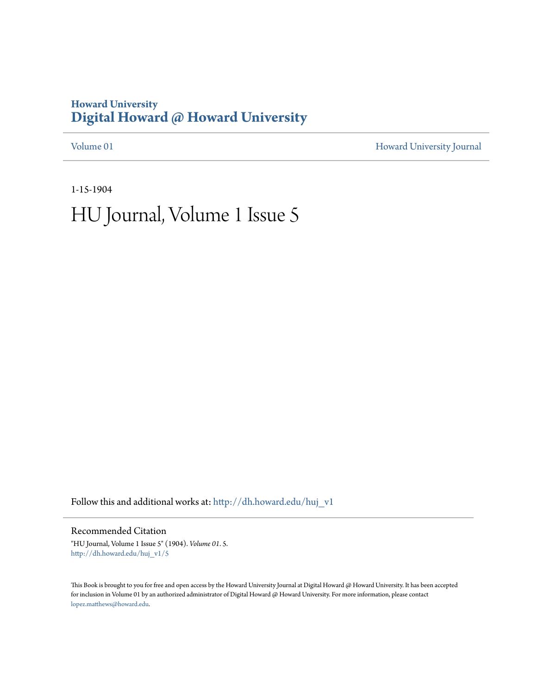# **Howard University [Digital Howard @ Howard University](http://dh.howard.edu?utm_source=dh.howard.edu%2Fhuj_v1%2F5&utm_medium=PDF&utm_campaign=PDFCoverPages)**

[Volume 01](http://dh.howard.edu/huj_v1?utm_source=dh.howard.edu%2Fhuj_v1%2F5&utm_medium=PDF&utm_campaign=PDFCoverPages) [Howard University Journal](http://dh.howard.edu/huj?utm_source=dh.howard.edu%2Fhuj_v1%2F5&utm_medium=PDF&utm_campaign=PDFCoverPages)

1-15-1904

# HU Journal, Volume 1 Issue 5

Follow this and additional works at: [http://dh.howard.edu/huj\\_v1](http://dh.howard.edu/huj_v1?utm_source=dh.howard.edu%2Fhuj_v1%2F5&utm_medium=PDF&utm_campaign=PDFCoverPages)

Recommended Citation

"HU Journal, Volume 1 Issue 5" (1904). *Volume 01*. 5. [http://dh.howard.edu/huj\\_v1/5](http://dh.howard.edu/huj_v1/5?utm_source=dh.howard.edu%2Fhuj_v1%2F5&utm_medium=PDF&utm_campaign=PDFCoverPages)

This Book is brought to you for free and open access by the Howard University Journal at Digital Howard @ Howard University. It has been accepted for inclusion in Volume 01 by an authorized administrator of Digital Howard @ Howard University. For more information, please contact [lopez.matthews@howard.edu.](mailto:lopez.matthews@howard.edu)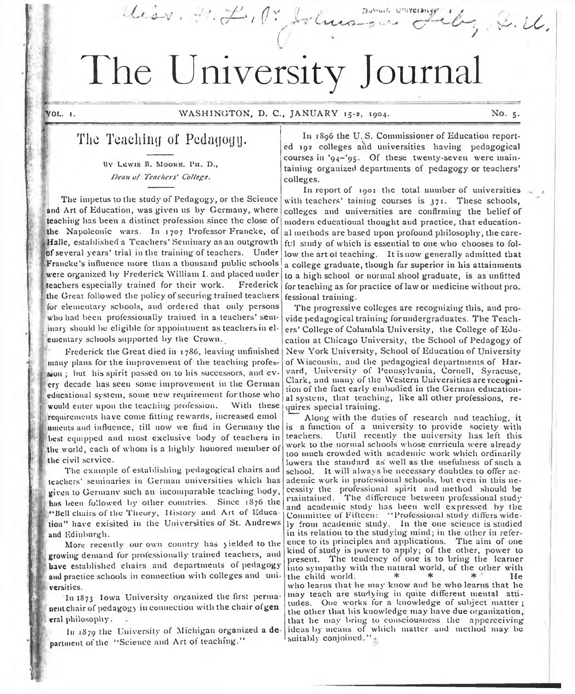# The University Journal

{

 $u \circ v$ ,  $\mathcal{L} \leftarrow \{ \emptyset \}$  ,  $\mathcal{L} \leftarrow \{ \mathcal{L} \}$ 

/ (' ' . + V Lucco-s ...

 $t \in \mathbb{R}$ 

**1**

spgf

/ *V ' . U .*

# The Teaching oi Pedagogy.

BY LEWIS B. MOORE. PH. D., Dean of Teachers' College.

The impetus to the study of Pedagogy, or the Science and Art of Education, was given us by Germany, where teaching has been a distinct profession since the close of the Napoleonic wars. In 1707 Professor Francke, of Halle, established a Teachers' Seminary as an outgrowth of several years' trial in the training of teachers. Under Francke's influence more than a thousand public schools were organized by Frederick William I. and placed under teachers especially trained for their work. Frederick the Great followed the policy of securing trained teachers for elementary schools, and ordered that only persons who had been professionally trained in a teachers' seminary should be eligible for appointment as teachers in elementary schools supported by the Crown.

Frederick the Great died in 17S6, leaving unfinished many plans for the improvement of the teaching profession ; but his spirit passed on to his successors, and every decade lias seen some improvement in the German educational system, some new requirement for those who would enter upon the teaching profession. With these requirements have come fitting rewards, increased emol uments and influence, till now we find in Germany the best equipped and most exclusive body of teachers in the world, each of whom is a highly honored member of the civil service.

The example of establishing pedagogical chairs and teachers' seminaries in German universities which has given to Germanv such an incomparable teaching body, has been followed by other countries. Since 1876 the ••Bell chairs of the Theory, History and Art of Educa lion'' have exisited in the Universities of St. Andrews and Edinburgh.

More recently our own country has yielded to the growing demand for professionally trained teachers, and have established chairs and departments of pedagogy and practice schools in connection with colleges and universities.

In 1873 Iowa University organized the first permanent chair of pedagogy in connection with the chair ofgen eral philosophy.

In 1879 the University of Michigan organized a department of the "Science and Art of teaching."

In 1896 the U. S. Commissioner of Education reported 192 colleges and universities having pedagogical courses in '94-'9S. Of these twenty-seven were maintaining organized departments of pedagogy or teachers' colleges.

c:

In report of  $1901$  the total number of universities with teachers' taining courses is  $371$ . These schools, colleges and universities are confirming the belief of modern educational thought and practice, that educational methods are based upon profound philosophy, the careful study of which is essential to one who chooses to follow the art ot teaching. It is now generally admitted that a college graduate, though far superior in his attainments to a high school or normal shod graduate, is as unfitted for teaching as for practice of law or medicine without pro. fessional training.

The progressive colleges are recognizing this, and provide pedagogical training for undergraduates. The Teachers' College of Columbia University, the College of Education at Chicago University, the School of Pedagogy of New York University, School of Education of University of Wisconsin, and the pedagogical departments of Harvard, University of Pennsylvania, Cornell, Syracuse, Clark, and many of the Western Universities are recognition of the fact early embodied in the German educational system, that teaching, like all other professions, requires special training.

Along with the duties of research and teaching, it is a function of a university to provide society with teachers. Until recently the university has left this work to the normal schools whose curricula were already too much crowded with academic work which ordinarily lowers the standard as well as the usefulness of such a school. It will always be necessary doubtles to offer academic work in professional schools, but even in this necessity the professional spirit and method should be maintained. The difference between professional study and academic study has been well expressed by the Committee of Fifteen: " Professional study differs widely from academic study. In the one science is studied in its relation to the studying mind; in the other in reference to its principles and applications. The aim of one kind of study is power to apply; of the other, power to present. The tendency of one is to bring the learner into sympathy with the natural world, of the other with the child world,  $*$   $*$   $*$   $*$   $*$ the child world. who learns that he may know and he who learns that he may teach are studying in quite different mental attitudes. One works for a knowledge of subject matter ; the other that his knowledge may have due organization, that he may bring to consciousness the apperceiving ideas by means of which matter and method may be suitably conjoined."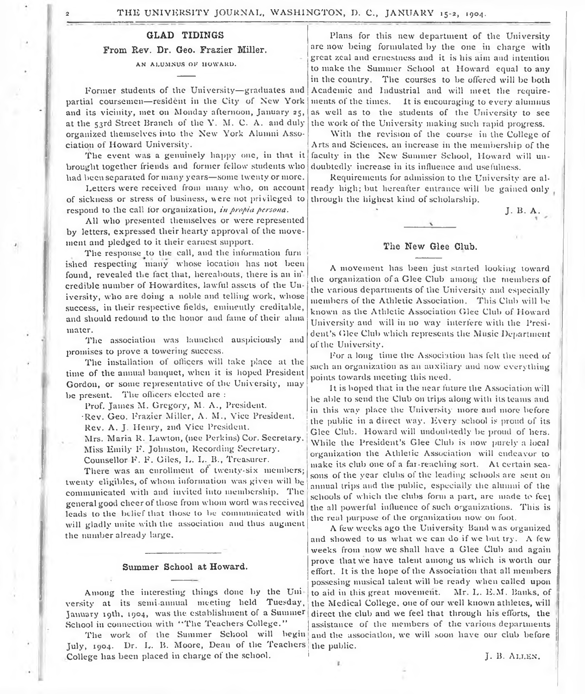#### **GLAD TIDINGS**

#### From Rev. Dr. Geo. Frazier Miller.

#### AN ALUMNUS OF HOWARD.

Former students of the University— graduates and partial coursemcu— resident in the City of New York and its vicinity, met on Monday afternoon, January 25, at the 53rd Street Branch of the Y. M. C. A. and duly organized themselves into the New York Alumni Association of Howard University.

The event was a genuinely happy one, in that it brought together friends and former fellow students who had been separated for many years— some twenty or more.

Letters were received from many who, on account of sickness or stress of business, were not privileged to respond to the call for organization, *in propia persona.*

All who presented themselves or were represented by letters, expressed their hearty approval of the movement and pledged to it their earnest support.

The response to the call, and the information furn ished respecting many whose location has not been found, revealed the fact that, hereabouts, there is an in' credible number of Howardites, lawful assets of the University, who are doing a noble and telling work, whose success, in their respective fields, eminently creditable, and should redound to the honor and fame of their alma mater.

The association was launched auspiciously and promises to prove a towering success.

The installation of officers will take place at the time of the annual banquet, when it is hoped President Gordon, or some representative of the University, may be present. The officers elected are :

Prof. James M. Gregory, M. A., President.

Rev. Geo. Frazier Miller, A. M., Vice President. Rev. A. J. Henry, 2nd Vice President.

Mrs. Maria R. Lawton, (nee Perkins) Cor. Secretary. Miss Emily If . Johnston, Recording Secretary.

Counsellor F. F. Giles, L. L. B., Treasurer.

There was an enrollment of twenty-six members; twenty eligibles, of whom information was given will be communicated with and invited into membership. The general good cheer of those from whom word was received leads to the belief that those to be communicated with will gladly unite with the association and thus augment the number already large.

#### **Summer School at Howard.**

Among the interesting things done by the Uni versity at its semiannual meeting held Tuesday, January 19th, 1904, was the establishment of a Summer School in connection with "The Teachers College."

The work of the Summer School will begin July, 1904. Dr. L. B. Moore, Dean of the Teachers *\* the public. College has been placed in charge of the school.

Plans for this new department of the University are now being formulated by the one in charge with great zeal and ernestness and it is his aim and intention to make the Summer School at Howard equal to any in the country. The courses to be offered will be both Academic and Industrial and will meet the requirements of the times. It is encouraging to every alumnus as well as to the students of the University to see the work of the University making such rapid progress.

With the revision of the course in the College of Arts and Sciences, an increase in the membership of the faculty in the New Summer School, Howard will undoubtedly increase in its influence and usefulness.

Requirements for admission to the University are already high; but hereafter entrance will be gained only through the highest kind of scholarship.

J. B. A.

#### **The New Glee Club.**

A movement has been just started looking toward the organization of a Glee Club among the members of the various departments of the University and especially members of the Athletic Association. This Club will be known as the Athletic Association Glee Club of Howard University and will in no way interfere with the President's Glee Club which represents the Music Department of the University.

For a long time the Association has fell the need of such an organization as an auxiliary and now everything points towards meeting this need.

It is hoped that in the near future the Association will be able to send the Club on trips along with its teams and in this way place the University more and more before ! the public in a direct way. Every school is proud of its Glee Club. Howard will undoubtedly be proud of hers. While the President's Glee Club is now purely a local organization the Athletic Association will endeavor to make its club one of a far-reaching sort. At certain seasons of the year clubs of the leading schools are sent on annual trips and the public, especially the alumni of the schools of which the clubs form a part, are made to feel the all powerful influence of such organizations. This is the real purpose of the organization now on foot.

A few weeks ago the University Band was organized and showed to us what we can do if we but try. A few weeks from now we shall have a Glee Club and again prove that we have talent among us which is worth our effort. It is the hope of the Association that all members possesing musical talent will be ready when called upon to aid in this great movement. Mr. L. E.M. Banks, of the Medical College, one of our well known athletes, will direct the club and we feel that through his efforts, the assistance of the members of the various departments and the association, we will soon have our club before

J. B. Allen.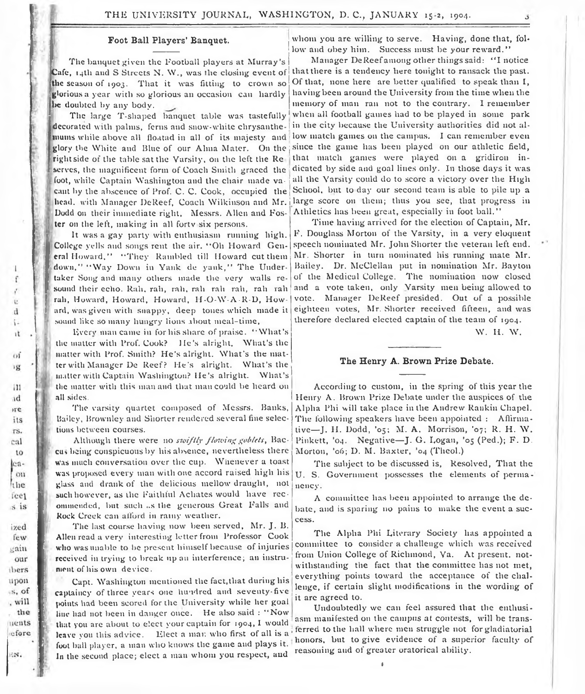#### **Foot Ball Players' Banquet.**

The banquet given the Football players at Murray's Cafe, 14th and S Streets N. \V., was the closing event of I<sub>II</sub><br>**B**<sup>I</sup><sub>I</sub>I<sub>I</sub> the season of 1903. That it was fitting to crown so glorious a year with so glorious an occasion can hardly be doubted by any body.

The large T-shaped banquet table was tastefully decorated with palms, ferns and snow-white chrysanthemums while above all floatad in all of its majesty and glory the White and Blue of our Alma Mater. On the right side of the table sat the Varsity, on the left the Re serves, the magnificent form of Coach Smith graced the foot, while Captain Washington and the chair made vacant by the abscence of Prof. C. C. Cook, occupied the head, with Manager DeReef, Coach Wilkinson and Mr. Dodd on their immediate right. Messrs. Allen and Foster on the left, making in all forty six persons.

It was a gay party with enthusiasm running high. College yells and songs rent the air. " Oh Howard General Howard," " They Rambled till Howard cut them 1 down," " Way Down in Yank de yank," The Under taker Song and many others made the very walls re-! sound their echo. Rah, rah, rah, rah rah rah, rah rah rah, Howard, Howard, Howard, H-O-W-A-R-D, Howard, was given with snappy. deep tones which made it sound like so many hungry lions about meal-time,

f

ù  $\mathbf{d}$ t. it

 $\alpha$ 溟

 $111$  $id$  $r$ e its rs. cal to lcaou the fee1  $5.1S$ 

ized few gain our ibers upon  $S, of$ , will the nents efore

W.

Uverv man came in for his share of praise. " What's the matter with Prof. Cook? He's alright. What's the matter with Prof. Smith? He's alright. What's the matter with Manager De Reef? He's alright. What's the matter with Captain Washington? He's alright. What's the matter with this man and that man could be heard on all sides.

The varsity quartet composed of Messrs. Banks, Bailey, Brownley and Shorter rendered several fine selections between courses.

Although there were *no sioiftly flowing gobtets,* Baccu> being conspicuous by his absence, nevertheless there Was much conversation over the cup. Whenever a toast was proposed every man with one accord raised high his glass and drank of the delicious mellow draught, not such however, as the Faithful Achates would have recommended, but such «.s the generous Great Falls and Rock Creek can afford in rainy weather.

The last course having now been served, Mr. J. B. Allen read a very interesting letter from Professor Cook who was unable to be present himself because of injuries received in trying to break up an interference; an instrument of his own device.

Capt. Washington mentioned the fact,that during his captaincy of three years one hundred and seventy-five points had been scored for the University while her goal line had not been in danger once. He also said : " Now that you are about to elect your captain for 1904, I would leave you this advice. Elect a mar. who first of all is a foot ball player, a man who knows the game and plays it. In the second place; elect a man whom you respect, and

whom you are willing to serve. Having, done that, follow and obey him. Success must be your reward."

Manager DeReef among other things said: "I notice that there is a tendency here tonight to ransack the past. Of that, none here are better qualified to speak than I, having been around the University from the time when the memory of man ran not to the contrary. I remember when all football games had to be played in some park in the city because the University authorities did not allow match games on the campus. I can remember even since the game has been played on our athletic field, that match games were played on a gridiron indicated by side and goal lines only. In those days it was all the Varsity could do to score a victory over the High School, but to day our second team is able to pile up a large score on them; thus you see, that progress in Athletics has been great, especially in foot ball."

Time having arrived for the election of Captain, Mr. F. Douglass Morton of the Varsity, in a very eloquent speech nominated Mr. John Shorter the veteran left end. Mr. Shorter in turn nominated his running mate Mr. Bailey. Dr. McClellan put in nomination Mr. Bayton of the Medical College. The nomination now closed and a vote taken, only Varsity men being allowed to vote. Manager DeReef presided. Out of a possible eighteen votes, Mr. Shorter received fifteen, and was therefore declared elected captain of the team of 1904.

W. II. W.

#### **The Henry A. Brown Prize Debate.**

According to custom, in the spring of this year the Henry A. Brown Prize Debate under the auspices of the Alpha Phi will take place in the Andrew Rankin Chapel. The following speakers have been appointed : Affirmative— J. II. Dodd, '05; M. A. Morrison, '07; R. H. W. Pinkett, '04. Negative-J. G. Logan, '05 (Ped.); F. D. Morton, '06; D. M. Baxter, '04 (Theol.)

The subject to be discussed is, Resolved, That the U. S. Government possesses the elements of permanency.

A committee has been appointed to arrange the debate, and is sparing no pains to make the event a success.

The Alpha Phi Literary Society has appointed a committee to consider a challenge which was received from Union College of Richmond, Va. At present, notwithstanding the fact that the committee has not met, everything points toward the acceptance of the challenge, if certain slight modifications in the wording of it are agreed to.

Undoubtedly we can feel assured that the entliusi asm manifested on the campus at contests, will be transferred to the hall where men struggle not for gladiatorial honors, but to give evidence of a superior faculty of reasoning and of greater oratorical ability.

1

o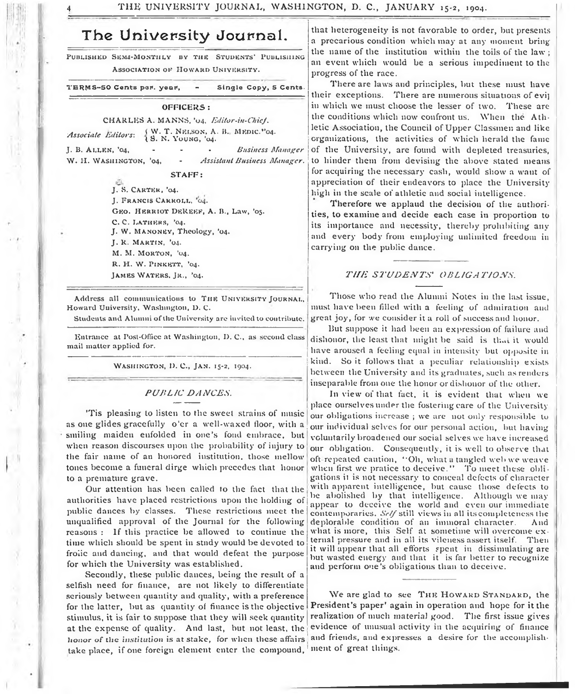# **The University Journal.**

PUBLISHED SEMI-MONTHLY BY THE STUDENTS' PUBLISHING Association of Howard University.

TERMS-50 Cents per. year, - Single Copy, 5 Cents.

#### OFFICERS :

CHARLES A. MANNS, '04. *Editor-in-Chief*. *Associate Editors:* { W. T. NELSON, A. B.<br>{ S. N. YOUNG, '04. W. T. NELSON, A. B., MEDIC."04. J. B. A l l e n , '04, . . . *Business Manager*

W. H. WASHINGTON, '04, - Assistant Business Manager.

STAFF:

J. S. CARTER, '04. **J . F r a n c i s C a r r o l l , '**04**.** GEO. HERRIOT DEKEEF, A. B., Law, '05. C. C. LATHERS, '04. J. W. MANONEY, Theology, '04. J. R. MARTIN, '04. M. M. MORTON, '04. R. H. W. PINKETT, '04. JAMES WATERS, JR., '04.

Address all communications to THE UNIVERSITY JOURNAL. Howard University, Washington, D. C.

Students and Alumni of the University are invited to contribute.

Entrance at Post-Office at Washington, D. C., as second class mail matter applied for.

WASHINGTON, D. C., JAN. 15-2, 1904.

#### *PUBLIC DANCES.*

'Tis pleasing to listen to the sweet strains of music as one glides gracefully o 'er a well-waxed floor, with a smiling maiden enfolded in one's fond embrace, but when reason discourses upon the probability of injury to the fair name of an honored institution, those mellow tones become a funeral dirge which precedes that honor to a premature grave.

Our attention lias been called to the fact that the authorities have placed restrictions upon the holding of public dances by classes. These restrictions meet the unqualified approval of the Journal for the following reasons : If this practice be allowed to continue the time which should be spent in study would be devoted to frolic and dancing, and that would defeat the purpose for which the University was established.

Secondly, these public dances, being the result of a selfish need for finance, are not likely to differentiate seriously between quantity and quality, with a preference for the latter, but as quantity of finance is the objective stimulus, it is fair to suppose that they will seek quantity at the expense of quality. And last, but not least, the honor of the institution is at stake, for when these affairs take place, if one foreign element enter the compound,

that heterogeneity is not favorable to order, but presents a precarious condition which may at any moment bring the name of the institution within the toils of the law ; an event which would be a serious impediment to the progress of the race.

There are laws and principles, but these must have their exceptions. There are numerous situations of evi] in which we must choose the lesser of two. These are the conditions which now confront us. When the Athletic Association, the Council of Upper Classmen and like organizations, the activities of which herald the fame of the University, are found with depleted treasuries, to hinder them from devising the above stated means for acquiring the necessary cash, would show a want of appreciation of their endeavors to place the University high in the scale of athletic and social intelligence.

Therefore we applaud the decision of the authorities, to examine and decide each case in proportion to its importance and necessity, thereby prohibiting any and every body from employing unlimited freedom in carrying on the public dance.

#### *T H E STUDENTS' OBLIGATIONS.*

Those who read the Alumni Notes in the last issue, must have been filled with a feeling of admiration and great joy, for we consider it a roll of success and honor.

But suppose it had been an expression of failure and dishonor, the least that might be said is that it would have aroused a feeling equal in intensity but opposite in kind. So it follows that a peculiar relationship exists between the University and its graduates, such as renders inseparable from one the honor or dishonor of the other.

In view of that fact, it is evident that when we place ourselves under the fostering care of the University our obligations increase ; we are not only responsible to our individual selves for our personal action, but having voluntarily broadened our social selves we have increased our obligation. Consequently, it is well to observe that oft repeated caution, \*'Oh, what a tangled web we weave when first we pratice to deceive." To meet these obligations it is not necessary to conceal defects of character with apparent intelligence, but cause those defects to be abolished by that intelligence. Although we may appear to deceive the world and even our immediate contemporaries. *Sc//* still views in all its completeness the deplorable condition of an immoral character. And what is more, this Self at sometime will overcome external pressure and in all its vileness assert itself. Then it will appear that all efforts spent in dissimulating are but wasted energy and that it is far better to recognize and perform one's obligations than to deceive.

We are glad to see THE HOWARD STANDARD, the President's paper' again in operation and hope for it the realization of much material good. The first issue gives evidence of unusual activity in the acquiring of finance and friends, and expresses a desire for the accomplishment of great things.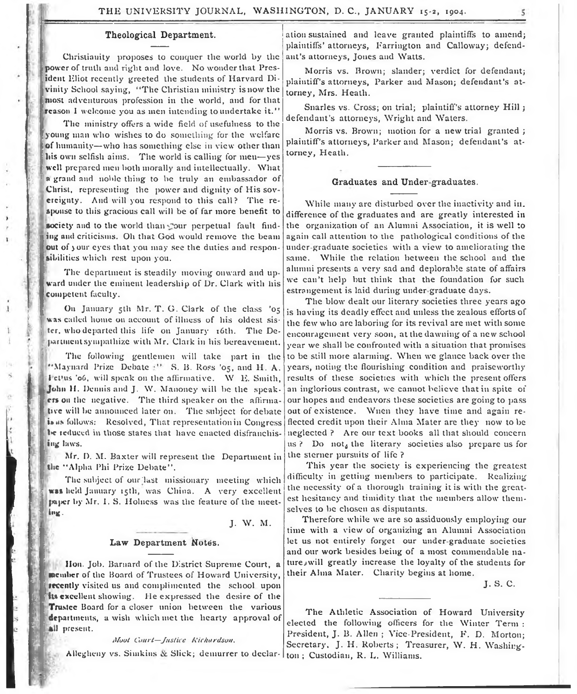#### **Theological Department.**

Christianity proposes to conquer the world by the power of truth and right and love. No wonder that President Eliot recently greeted the students of Harvard Divinity School saying, " The Christian ministry is now the most adventurous profession in the world, and for that reason I welcome you as men intending to undertake it."

The ministry offers a wide field of usefulness to the young man who wishes to do something for the welfare of humanity— who has something else in view other than liis own selfish aims. The world is calling for men— yes well prepared men both morally and intellectually. What a grand and noble thing to be truly an embassador of Christ, representing the power and dignity of His sovereignty. And will you respond to this call? The response to this gracious call will be of far more benefit to

society and to the world than your perpetual fault finding and criticisms. Oh that God would remove the beam out of jour eyes that you may see the duties and responsibilities which rest upon you.

The department is steadily moving onward and upward under the eminent leadership of Dr. Clark with his Competent faculty.

On January 5th Mr. T. G. Clark of the class '05 was called home on account of illness of his oldest sister, who departed this life on January 16th. The Department sympathize with Mr. Clark in his bereavement.

*y i*

> f ' The following gentlemen will take part in the "Maynard Prize Debate <sup>11</sup> S. B. Ross '05, and H. A. 1 ct'us '06, will speak on the affirmative. W E. Smith, John **II,** Dennis and J. W. Manoney will be the speakers on the negative. The third speaker on the affirmative will be announced later on. The subject for debate i» as follows: Resolved, That representation in Congress be reduced in those states that have enacted disfranchising laws.

Mr. D. M. Baxter will represent the Department in the "Alpha Phi Prize Debate".

The subject of our last missionary meeting which **i** was held January 15th, was China. A very excellent 1 paper by Mr. I. S. Holness was the feature of the meeting.

J. W. M.

#### Law Department Notes.

Hon. Jol). Barnard of the District Supreme Court, a member of the Board of Trustees of Howard University, tecently visited us and complimented the school upon its excellent showing. He expressed the desire of the Trustee Board for a closer union between the various departments, a wish which met the hearty approval of all present.

#### *Moot Court—Justice Richardson.*

Allegheny vs. Simkins & Slick; demurrer to declar- ton; Custodian, R. L. Williams.

ation sustained and leave granted plaintiffs to amend; plaintiffs' attorneys, Farrington and Calloway; defendant's attorneys, Jones and Watts.

Morris vs. Brown; slander; verdict for defendant; plaintiff's attorneys, Parker and Mason; defendant's attorney, Mrs. Heath.

Snarles vs. Cross; on trial; plaintiff's attorney Hill; defendant's attorneys, Wright and Waters.

Morris vs. Brown; motion for a new trial granted ; plaintiff's attorneys, Parker and Mason; defendant's attorney, Heath.

#### **Graduates and Under graduates.**

While many are disturbed over the inactivity and in. difference of the graduates and are greatly interested in the organization of an Alumni Association, it is well to again call attention to the pathological conditions of the under graduate societies with a view to ameliorating the same. While the relation between the school and the alumni presents a very sad and deplorable state of affairs we can't help hut think that the foundation for such estrangement is laid during under graduate days.

The blow dealt our literary societies three years ago is having its deadly effect and unless the zealous efforts of the few who are laboring for its revival are met with some encouragement very soon, at the dawning of a new school year we shall be confronted with a situation that promises to be still more alarming. When we glance back over the years, noting the flourishing condition and praiseworthy results of these societies with which the present offers an inglorious contrast, we cannot believe that in spite of our hopes and endeavors these societies are going to pass out of existence. Wnen they have time and again reflected credit upon their Alma Mater are they now to be neglected ? Are our text books all that should concern us ? Do not<sub>4</sub> the literary societies also prepare us for the sterner pursuits of life ?

This year the society is experiencing the greatest difficulty in getting members to participate. Realizing the necessity of a thorough training it is with the greatest hesitancy and timidity that the members allow themselves to be chosen as disputants.

Therefore while we are so assiduously employing our time with a view of organizing an Alumni Association let us not entirely forget our under graduate societies and our work besides being of a most commendable natureywill greatly increase the loyalty of the students for their Alma Mater. Charity begins at home.

J. S. C.

The Athletic Association of Howard University elected the following officers for the Winter Term : President, J. B. Allen ; Vice-President, F. D. Morton; Secretary. J. H. Roberts; Treasurer, W. H. Washing-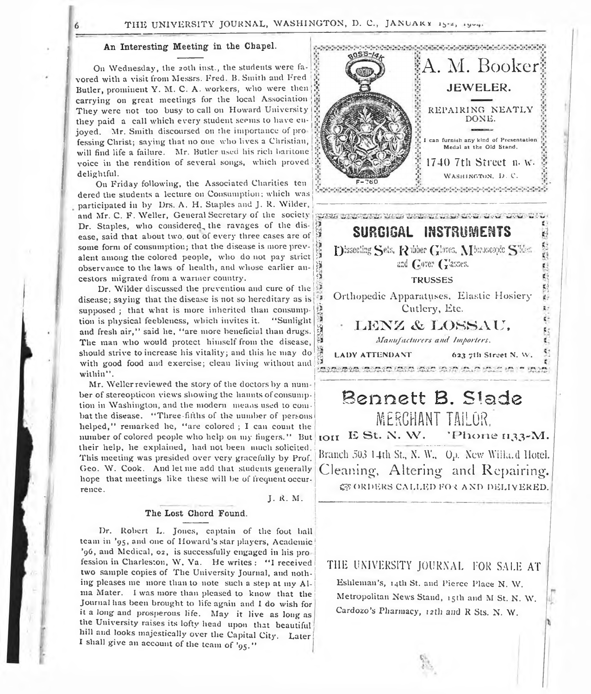#### THE UNIVERSITY JOURNAL, WASHINGTON, D. C., JANUAKY 15-2, 1904.

#### **An Interesting Meeting in the Chapel.**

On Wednesday, the 20th inst., the students were favored with a visit from Messrs. Fred. B. Smith and Fred Butler, prominent Y. M. C. A. workers, who were then carrying on great meetings for the local Association They were not too busy to call on Howard University they paid a call which every student seems to have enjoyed. Mr. Smith discoursed on the importance of professing Christ; saying that no one who lives a Christian, will find life a failure. Mr. Butler used his rich baritone voice in the rendition of several songs, which proved delightful.

On Friday following, the Associated Charities ten dered the students a lecture on Consumption; which was participated in by Drs. A. H. Staples and J. R. Wilder, and Mr. C. F. Weller, General Secretary of the society Dr. Staples, who considered the ravages of the disease, said that about two. out of every three cases are of some form of consumption; that the disease is more prevalent among the colored people, who do not pay strict observance to the laws of health, and whose earlier ancestors migrated from a warmer country.

Dr. Wilder discussed the prevention and cure of the disease; saying that the disease is not so hereditary as is supposed ; that what is more inherited than consumption is physical feebleness, which invites it. " Sunlight and fresh air," said he, "are more beneficial than drugs. The man who would protect himself from the disease, should strive to increase his vitality; and this he may do with good food and exercise; clean living without and  $\beta$  expression cannot data said said shift in within".

Mr. Weller reviewed the story of the doctors by a number of stereopticon views showing the haunts of consumption in Washington, and the modern means used to combat the disease. "Three-fifths of the number of persons helped," remarked he, "are colored ; I can count the number of colored people who help on my fingers." But their help, he explained, had not been much solicited. **<sup>j</sup>** This meeting was presided over very gracefully by Prof. Geo. W. Cook. And let me add that students generally hope that meetings like these will be of frequent occurrence.

J. R. M.

J

#### **The Lost Chord Found.**

Dr. Robert L. Jones, captain of the foot ball team in '95, and one of Howard's star players, Academic1 '96, and Medical, 02, is successfully engaged in his pro ! fession in Charleston, W. Va. He writes : "I received two sample copies of The University Journal, and nothing pleases me more than to note such a step at my Alma Mater. I was more than pleased to know that the Journal has been brought to life again and I do wish for it a long and prosperous life. May it live as long as the University raises its lofty head upon that beautiful hill and looks majestically over the Capital City. Later I shall give an account of the team of '95."



*Manufacturers and Importers.* LADY ATTENDANT 623 7th Street N. W.

## Bennett B. Slade **MERCHANT TAILOR.** *N* Phone 1133-M. Branch 503 14th St., N. W., O.). New Willa.d Hotel. Cleaning-, Altering and Repairing. IOII E St. N. W. **CE ORDERS CALLED FOR AND DELIVERED.**

### THE UNIVERSITY JOURNAL FOR SALE AT

Eshleman's, 14th St. and Pierce Place N. W. Metropolitan News Stand, 15th and M St. N. W. Cardozo's Pharmacy, 12th and R Sts. N. W.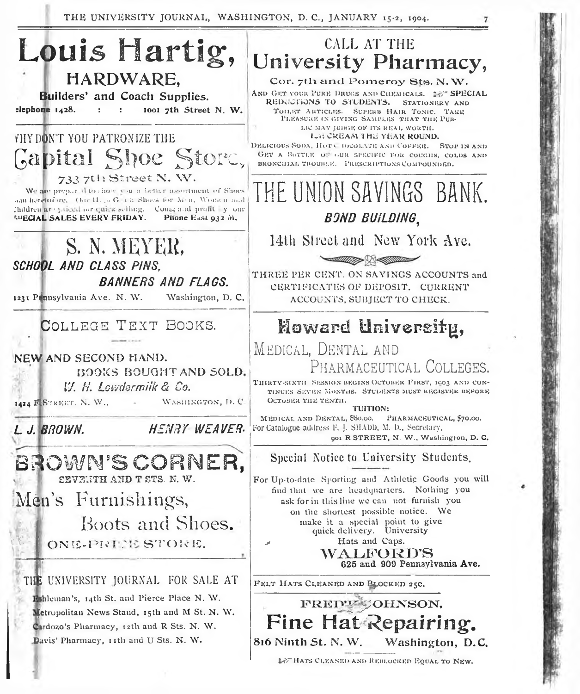